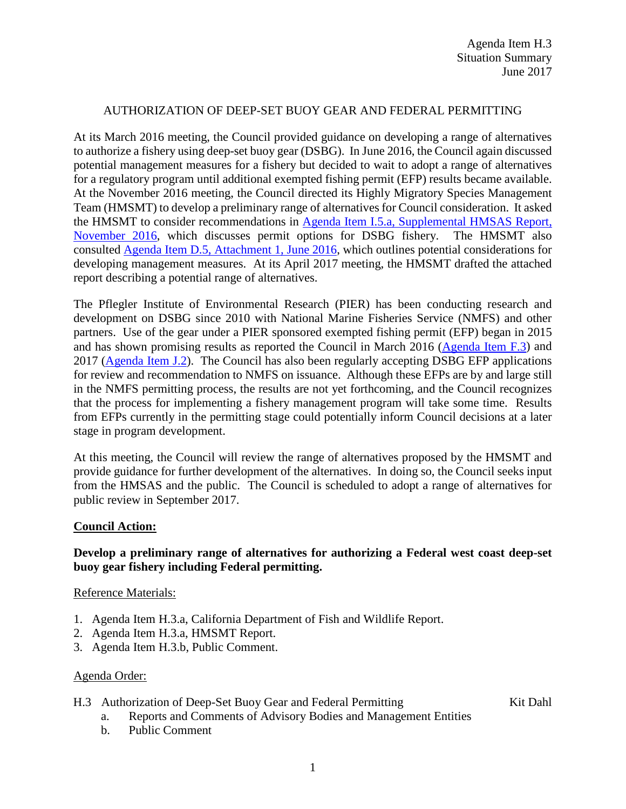#### AUTHORIZATION OF DEEP-SET BUOY GEAR AND FEDERAL PERMITTING

At its March 2016 meeting, the Council provided guidance on developing a range of alternatives to authorize a fishery using deep-set buoy gear (DSBG). In June 2016, the Council again discussed potential management measures for a fishery but decided to wait to adopt a range of alternatives for a regulatory program until additional exempted fishing permit (EFP) results became available. At the November 2016 meeting, the Council directed its Highly Migratory Species Management Team (HMSMT) to develop a preliminary range of alternatives for Council consideration. It asked the HMSMT to consider recommendations in [Agenda Item I.5.a, Supplemental HMSAS Report,](http://www.pcouncil.org/wp-content/uploads/2016/11/I5a_Sup_HMSAS_Rpt_Swordfish_NOV2016BB.pdf)  [November 2016,](http://www.pcouncil.org/wp-content/uploads/2016/11/I5a_Sup_HMSAS_Rpt_Swordfish_NOV2016BB.pdf) which discusses permit options for DSBG fishery. The HMSMT also consulted [Agenda Item D.5, Attachment 1, June 2016,](http://www.pcouncil.org/wp-content/uploads/2016/06/D5_Att1_Considerations_DSBG_JUN2016BB.pdf) which outlines potential considerations for developing management measures. At its April 2017 meeting, the HMSMT drafted the attached report describing a potential range of alternatives.

The Pflegler Institute of Environmental Research (PIER) has been conducting research and development on DSBG since 2010 with National Marine Fisheries Service (NMFS) and other partners. Use of the gear under a PIER sponsored exempted fishing permit (EFP) began in 2015 and has shown promising results as reported the Council in March 2016 [\(Agenda Item F.3\)](http://www.pcouncil.org/wp-content/uploads/2016/02/F3__SitSum_DSBG_Scoping_MAR2016BB.pdf) and 2017 [\(Agenda Item J.2\)](http://www.pcouncil.org/wp-content/uploads/2017/02/J2__SitSum_DSBG_Update_Mar2017BB.pdf). The Council has also been regularly accepting DSBG EFP applications for review and recommendation to NMFS on issuance. Although these EFPs are by and large still in the NMFS permitting process, the results are not yet forthcoming, and the Council recognizes that the process for implementing a fishery management program will take some time. Results from EFPs currently in the permitting stage could potentially inform Council decisions at a later stage in program development.

At this meeting, the Council will review the range of alternatives proposed by the HMSMT and provide guidance for further development of the alternatives. In doing so, the Council seeks input from the HMSAS and the public. The Council is scheduled to adopt a range of alternatives for public review in September 2017.

#### **Council Action:**

## **Develop a preliminary range of alternatives for authorizing a Federal west coast deep-set buoy gear fishery including Federal permitting.**

Reference Materials:

- 1. Agenda Item H.3.a, California Department of Fish and Wildlife Report.
- 2. Agenda Item H.3.a, HMSMT Report.
- 3. Agenda Item H.3.b, Public Comment.

## Agenda Order:

H.3 Authorization of Deep-Set Buoy Gear and Federal Permitting Kit Dahl

- a. Reports and Comments of Advisory Bodies and Management Entities
- b. Public Comment